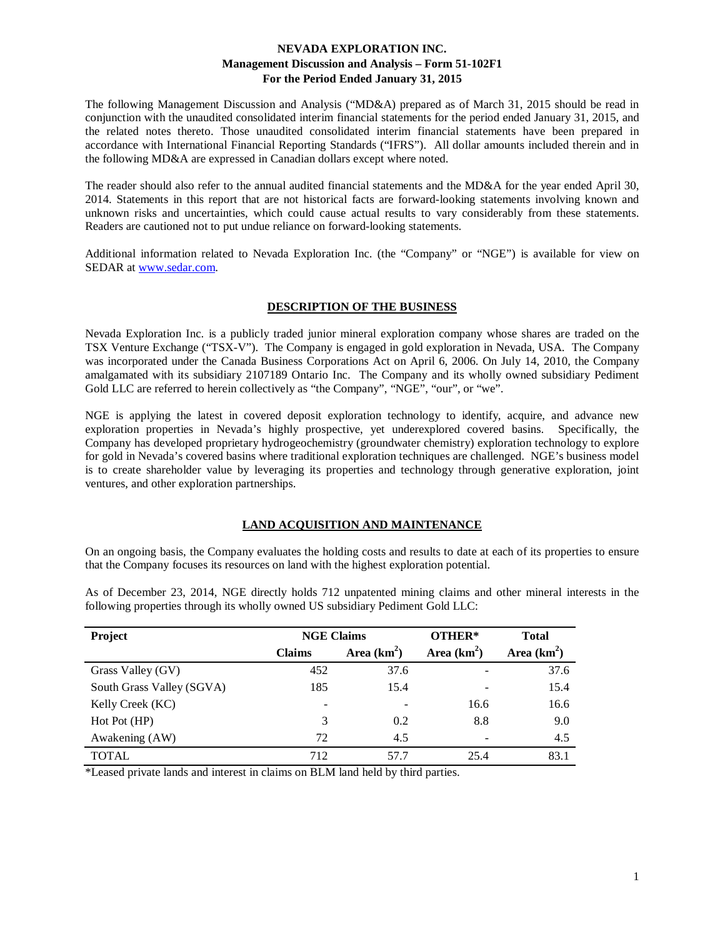The following Management Discussion and Analysis ("MD&A) prepared as of March 31, 2015 should be read in conjunction with the unaudited consolidated interim financial statements for the period ended January 31, 2015, and the related notes thereto. Those unaudited consolidated interim financial statements have been prepared in accordance with International Financial Reporting Standards ("IFRS"). All dollar amounts included therein and in the following MD&A are expressed in Canadian dollars except where noted.

The reader should also refer to the annual audited financial statements and the MD&A for the year ended April 30, 2014. Statements in this report that are not historical facts are forward-looking statements involving known and unknown risks and uncertainties, which could cause actual results to vary considerably from these statements. Readers are cautioned not to put undue reliance on forward-looking statements.

Additional information related to Nevada Exploration Inc. (the "Company" or "NGE") is available for view on SEDAR at [www.sedar.com.](http://www.sedar.com/)

## **DESCRIPTION OF THE BUSINESS**

Nevada Exploration Inc. is a publicly traded junior mineral exploration company whose shares are traded on the TSX Venture Exchange ("TSX-V"). The Company is engaged in gold exploration in Nevada, USA. The Company was incorporated under the Canada Business Corporations Act on April 6, 2006. On July 14, 2010, the Company amalgamated with its subsidiary 2107189 Ontario Inc. The Company and its wholly owned subsidiary Pediment Gold LLC are referred to herein collectively as "the Company", "NGE", "our", or "we".

NGE is applying the latest in covered deposit exploration technology to identify, acquire, and advance new exploration properties in Nevada's highly prospective, yet underexplored covered basins. Specifically, the Company has developed proprietary hydrogeochemistry (groundwater chemistry) exploration technology to explore for gold in Nevada's covered basins where traditional exploration techniques are challenged. NGE's business model is to create shareholder value by leveraging its properties and technology through generative exploration, joint ventures, and other exploration partnerships.

## **LAND ACQUISITION AND MAINTENANCE**

On an ongoing basis, the Company evaluates the holding costs and results to date at each of its properties to ensure that the Company focuses its resources on land with the highest exploration potential.

As of December 23, 2014, NGE directly holds 712 unpatented mining claims and other mineral interests in the following properties through its wholly owned US subsidiary Pediment Gold LLC:

| Project                   | <b>NGE Claims</b> |               | OTHER* | <b>Total</b>  |
|---------------------------|-------------------|---------------|--------|---------------|
|                           | <b>Claims</b>     | Area $(km^2)$ |        | Area $(km^2)$ |
| Grass Valley (GV)         | 452               | 37.6          |        | 37.6          |
| South Grass Valley (SGVA) | 185               | 15.4          |        | 15.4          |
| Kelly Creek (KC)          | -                 |               | 16.6   | 16.6          |
| Hot Pot (HP)              | 3                 | 0.2           | 8.8    | 9.0           |
| Awakening (AW)            | 72                | 4.5           |        | 4.5           |
| <b>TOTAL</b>              | 712               | 57.7          | 25.4   | 83.1          |

\*Leased private lands and interest in claims on BLM land held by third parties.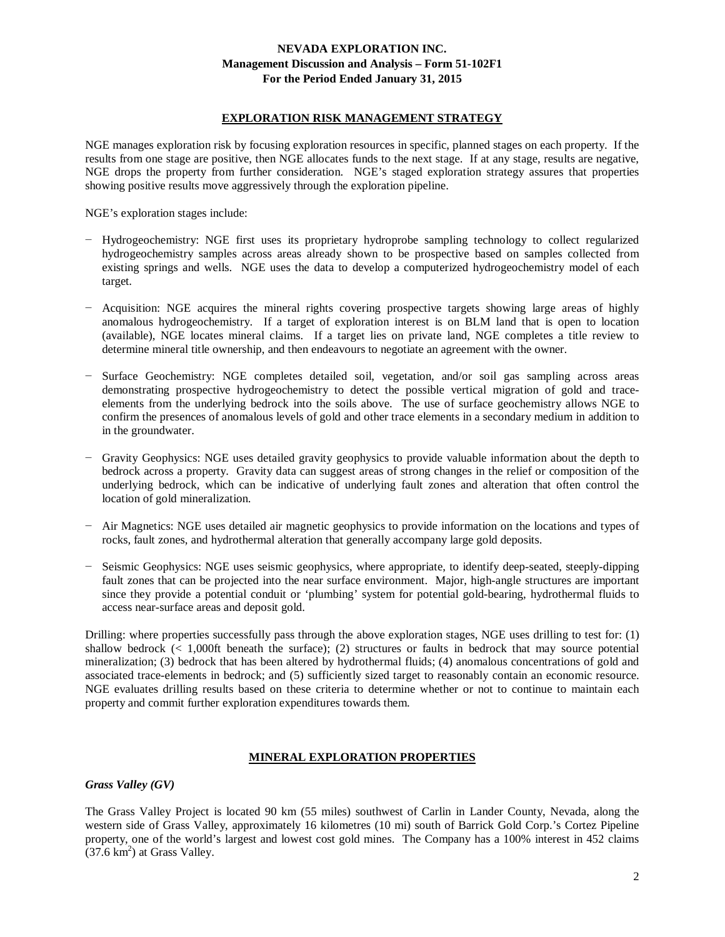## **EXPLORATION RISK MANAGEMENT STRATEGY**

NGE manages exploration risk by focusing exploration resources in specific, planned stages on each property. If the results from one stage are positive, then NGE allocates funds to the next stage. If at any stage, results are negative, NGE drops the property from further consideration. NGE's staged exploration strategy assures that properties showing positive results move aggressively through the exploration pipeline.

NGE's exploration stages include:

- − Hydrogeochemistry: NGE first uses its proprietary hydroprobe sampling technology to collect regularized hydrogeochemistry samples across areas already shown to be prospective based on samples collected from existing springs and wells. NGE uses the data to develop a computerized hydrogeochemistry model of each target.
- − Acquisition: NGE acquires the mineral rights covering prospective targets showing large areas of highly anomalous hydrogeochemistry. If a target of exploration interest is on BLM land that is open to location (available), NGE locates mineral claims. If a target lies on private land, NGE completes a title review to determine mineral title ownership, and then endeavours to negotiate an agreement with the owner.
- − Surface Geochemistry: NGE completes detailed soil, vegetation, and/or soil gas sampling across areas demonstrating prospective hydrogeochemistry to detect the possible vertical migration of gold and traceelements from the underlying bedrock into the soils above. The use of surface geochemistry allows NGE to confirm the presences of anomalous levels of gold and other trace elements in a secondary medium in addition to in the groundwater.
- − Gravity Geophysics: NGE uses detailed gravity geophysics to provide valuable information about the depth to bedrock across a property. Gravity data can suggest areas of strong changes in the relief or composition of the underlying bedrock, which can be indicative of underlying fault zones and alteration that often control the location of gold mineralization.
- − Air Magnetics: NGE uses detailed air magnetic geophysics to provide information on the locations and types of rocks, fault zones, and hydrothermal alteration that generally accompany large gold deposits.
- − Seismic Geophysics: NGE uses seismic geophysics, where appropriate, to identify deep-seated, steeply-dipping fault zones that can be projected into the near surface environment. Major, high-angle structures are important since they provide a potential conduit or 'plumbing' system for potential gold-bearing, hydrothermal fluids to access near-surface areas and deposit gold.

Drilling: where properties successfully pass through the above exploration stages, NGE uses drilling to test for: (1) shallow bedrock (< 1,000ft beneath the surface); (2) structures or faults in bedrock that may source potential mineralization; (3) bedrock that has been altered by hydrothermal fluids; (4) anomalous concentrations of gold and associated trace-elements in bedrock; and (5) sufficiently sized target to reasonably contain an economic resource. NGE evaluates drilling results based on these criteria to determine whether or not to continue to maintain each property and commit further exploration expenditures towards them.

## **MINERAL EXPLORATION PROPERTIES**

*Grass Valley (GV)*

The Grass Valley Project is located 90 km (55 miles) southwest of Carlin in Lander County, Nevada, along the western side of Grass Valley, approximately 16 kilometres (10 mi) south of Barrick Gold Corp.'s Cortez Pipeline property, one of the world's largest and lowest cost gold mines. The Company has a 100% interest in 452 claims  $(37.6 \text{ km}^2)$  at Grass Valley.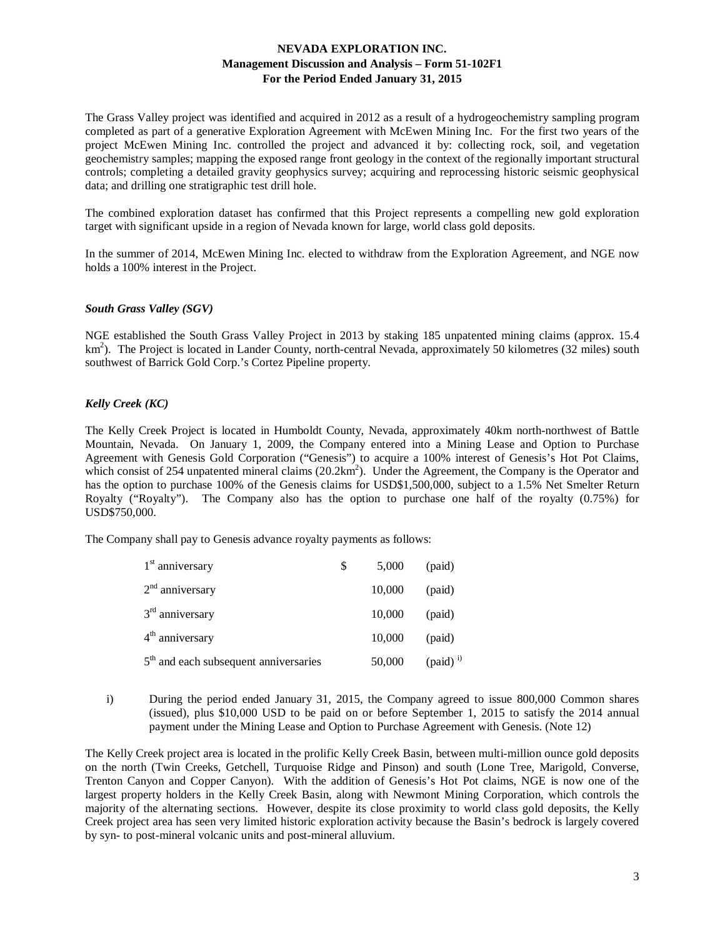The Grass Valley project was identified and acquired in 2012 as a result of a hydrogeochemistry sampling program completed as part of a generative Exploration Agreement with McEwen Mining Inc. For the first two years of the project McEwen Mining Inc. controlled the project and advanced it by: collecting rock, soil, and vegetation geochemistry samples; mapping the exposed range front geology in the context of the regionally important structural controls; completing a detailed gravity geophysics survey; acquiring and reprocessing historic seismic geophysical data; and drilling one stratigraphic test drill hole.

The combined exploration dataset has confirmed that this Project represents a compelling new gold exploration target with significant upside in a region of Nevada known for large, world class gold deposits.

In the summer of 2014, McEwen Mining Inc. elected to withdraw from the Exploration Agreement, and NGE now holds a 100% interest in the Project.

#### *South Grass Valley (SGV)*

NGE established the South Grass Valley Project in 2013 by staking 185 unpatented mining claims (approx. 15.4 km<sup>2</sup>). The Project is located in Lander County, north-central Nevada, approximately 50 kilometres (32 miles) south southwest of Barrick Gold Corp.'s Cortez Pipeline property.

#### *Kelly Creek (KC)*

The Kelly Creek Project is located in Humboldt County, Nevada, approximately 40km north-northwest of Battle Mountain, Nevada. On January 1, 2009, the Company entered into a Mining Lease and Option to Purchase Agreement with Genesis Gold Corporation ("Genesis") to acquire a 100% interest of Genesis's Hot Pot Claims, which consist of 254 unpatented mineral claims (20.2km<sup>2</sup>). Under the Agreement, the Company is the Operator and has the option to purchase 100% of the Genesis claims for USD\$1,500,000, subject to a 1.5% Net Smelter Return Royalty ("Royalty"). The Company also has the option to purchase one half of the royalty (0.75%) for USD\$750,000.

The Company shall pay to Genesis advance royalty payments as follows:

| $1st$ anniversary                                 | S | 5,000  | (paid)                 |
|---------------------------------------------------|---|--------|------------------------|
| $2nd$ anniversary                                 |   | 10,000 | (paid)                 |
| $3rd$ anniversary                                 |   | 10,000 | (paid)                 |
| $4th$ anniversary                                 |   | 10,000 | (paid)                 |
| 5 <sup>th</sup> and each subsequent anniversaries |   | 50,000 | $(paid)$ <sup>i)</sup> |

i) During the period ended January 31, 2015, the Company agreed to issue 800,000 Common shares (issued), plus \$10,000 USD to be paid on or before September 1, 2015 to satisfy the 2014 annual payment under the Mining Lease and Option to Purchase Agreement with Genesis. (Note 12)

The Kelly Creek project area is located in the prolific Kelly Creek Basin, between multi-million ounce gold deposits on the north (Twin Creeks, Getchell, Turquoise Ridge and Pinson) and south (Lone Tree, Marigold, Converse, Trenton Canyon and Copper Canyon). With the addition of Genesis's Hot Pot claims, NGE is now one of the largest property holders in the Kelly Creek Basin, along with Newmont Mining Corporation, which controls the majority of the alternating sections. However, despite its close proximity to world class gold deposits, the Kelly Creek project area has seen very limited historic exploration activity because the Basin's bedrock is largely covered by syn- to post-mineral volcanic units and post-mineral alluvium.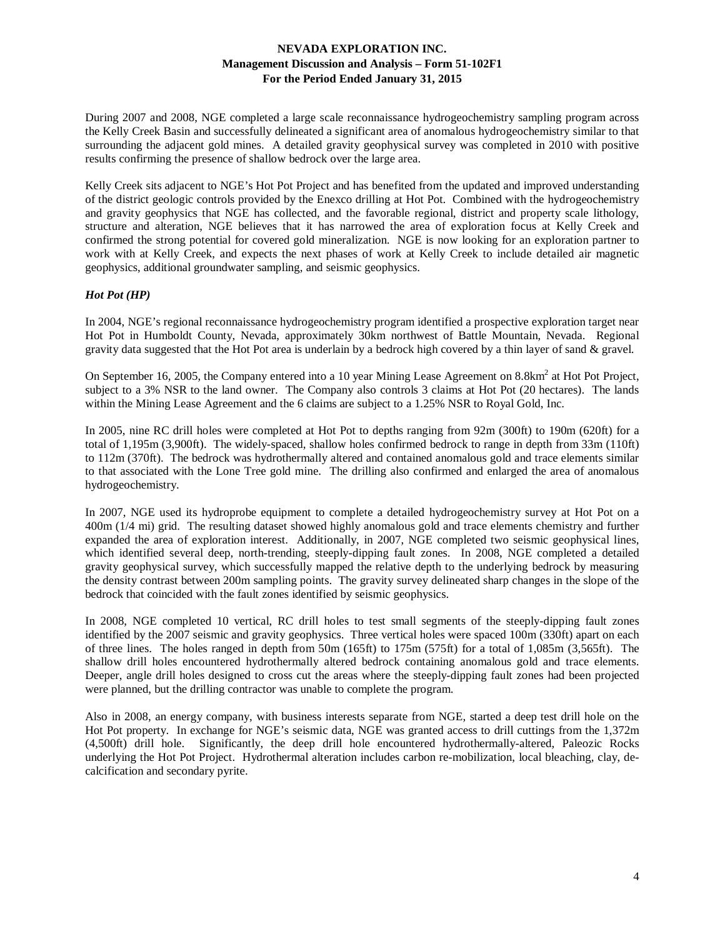During 2007 and 2008, NGE completed a large scale reconnaissance hydrogeochemistry sampling program across the Kelly Creek Basin and successfully delineated a significant area of anomalous hydrogeochemistry similar to that surrounding the adjacent gold mines. A detailed gravity geophysical survey was completed in 2010 with positive results confirming the presence of shallow bedrock over the large area.

Kelly Creek sits adjacent to NGE's Hot Pot Project and has benefited from the updated and improved understanding of the district geologic controls provided by the Enexco drilling at Hot Pot. Combined with the hydrogeochemistry and gravity geophysics that NGE has collected, and the favorable regional, district and property scale lithology, structure and alteration, NGE believes that it has narrowed the area of exploration focus at Kelly Creek and confirmed the strong potential for covered gold mineralization. NGE is now looking for an exploration partner to work with at Kelly Creek, and expects the next phases of work at Kelly Creek to include detailed air magnetic geophysics, additional groundwater sampling, and seismic geophysics.

## *Hot Pot (HP)*

In 2004, NGE's regional reconnaissance hydrogeochemistry program identified a prospective exploration target near Hot Pot in Humboldt County, Nevada, approximately 30km northwest of Battle Mountain, Nevada. Regional gravity data suggested that the Hot Pot area is underlain by a bedrock high covered by a thin layer of sand & gravel.

On September 16, 2005, the Company entered into a 10 year Mining Lease Agreement on 8.8km<sup>2</sup> at Hot Pot Project, subject to a 3% NSR to the land owner. The Company also controls 3 claims at Hot Pot (20 hectares). The lands within the Mining Lease Agreement and the 6 claims are subject to a 1.25% NSR to Royal Gold, Inc.

In 2005, nine RC drill holes were completed at Hot Pot to depths ranging from 92m (300ft) to 190m (620ft) for a total of 1,195m (3,900ft). The widely-spaced, shallow holes confirmed bedrock to range in depth from 33m (110ft) to 112m (370ft). The bedrock was hydrothermally altered and contained anomalous gold and trace elements similar to that associated with the Lone Tree gold mine. The drilling also confirmed and enlarged the area of anomalous hydrogeochemistry.

In 2007, NGE used its hydroprobe equipment to complete a detailed hydrogeochemistry survey at Hot Pot on a 400m (1/4 mi) grid. The resulting dataset showed highly anomalous gold and trace elements chemistry and further expanded the area of exploration interest. Additionally, in 2007, NGE completed two seismic geophysical lines, which identified several deep, north-trending, steeply-dipping fault zones. In 2008, NGE completed a detailed gravity geophysical survey, which successfully mapped the relative depth to the underlying bedrock by measuring the density contrast between 200m sampling points. The gravity survey delineated sharp changes in the slope of the bedrock that coincided with the fault zones identified by seismic geophysics.

In 2008, NGE completed 10 vertical, RC drill holes to test small segments of the steeply-dipping fault zones identified by the 2007 seismic and gravity geophysics. Three vertical holes were spaced 100m (330ft) apart on each of three lines. The holes ranged in depth from 50m (165ft) to 175m (575ft) for a total of 1,085m (3,565ft). The shallow drill holes encountered hydrothermally altered bedrock containing anomalous gold and trace elements. Deeper, angle drill holes designed to cross cut the areas where the steeply-dipping fault zones had been projected were planned, but the drilling contractor was unable to complete the program.

Also in 2008, an energy company, with business interests separate from NGE, started a deep test drill hole on the Hot Pot property. In exchange for NGE's seismic data, NGE was granted access to drill cuttings from the 1,372m (4,500ft) drill hole. Significantly, the deep drill hole encountered hydrothermally-altered, Paleozic Rocks underlying the Hot Pot Project. Hydrothermal alteration includes carbon re-mobilization, local bleaching, clay, decalcification and secondary pyrite.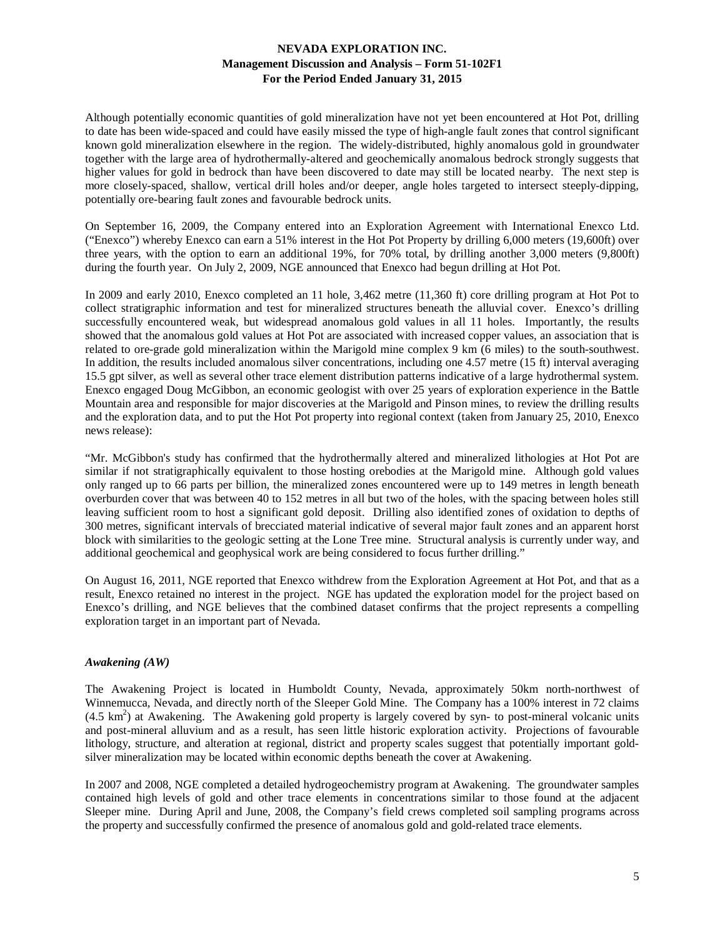Although potentially economic quantities of gold mineralization have not yet been encountered at Hot Pot, drilling to date has been wide-spaced and could have easily missed the type of high-angle fault zones that control significant known gold mineralization elsewhere in the region. The widely-distributed, highly anomalous gold in groundwater together with the large area of hydrothermally-altered and geochemically anomalous bedrock strongly suggests that higher values for gold in bedrock than have been discovered to date may still be located nearby. The next step is more closely-spaced, shallow, vertical drill holes and/or deeper, angle holes targeted to intersect steeply-dipping, potentially ore-bearing fault zones and favourable bedrock units.

On September 16, 2009, the Company entered into an Exploration Agreement with International Enexco Ltd. ("Enexco") whereby Enexco can earn a 51% interest in the Hot Pot Property by drilling 6,000 meters (19,600ft) over three years, with the option to earn an additional 19%, for 70% total, by drilling another 3,000 meters (9,800ft) during the fourth year. On July 2, 2009, NGE announced that Enexco had begun drilling at Hot Pot.

In 2009 and early 2010, Enexco completed an 11 hole, 3,462 metre (11,360 ft) core drilling program at Hot Pot to collect stratigraphic information and test for mineralized structures beneath the alluvial cover. Enexco's drilling successfully encountered weak, but widespread anomalous gold values in all 11 holes. Importantly, the results showed that the anomalous gold values at Hot Pot are associated with increased copper values, an association that is related to ore-grade gold mineralization within the Marigold mine complex 9 km (6 miles) to the south-southwest. In addition, the results included anomalous silver concentrations, including one  $4.57$  metre (15 ft) interval averaging 15.5 gpt silver, as well as several other trace element distribution patterns indicative of a large hydrothermal system. Enexco engaged Doug McGibbon, an economic geologist with over 25 years of exploration experience in the Battle Mountain area and responsible for major discoveries at the Marigold and Pinson mines, to review the drilling results and the exploration data, and to put the Hot Pot property into regional context (taken from January 25, 2010, Enexco news release):

"Mr. McGibbon's study has confirmed that the hydrothermally altered and mineralized lithologies at Hot Pot are similar if not stratigraphically equivalent to those hosting orebodies at the Marigold mine. Although gold values only ranged up to 66 parts per billion, the mineralized zones encountered were up to 149 metres in length beneath overburden cover that was between 40 to 152 metres in all but two of the holes, with the spacing between holes still leaving sufficient room to host a significant gold deposit. Drilling also identified zones of oxidation to depths of 300 metres, significant intervals of brecciated material indicative of several major fault zones and an apparent horst block with similarities to the geologic setting at the Lone Tree mine. Structural analysis is currently under way, and additional geochemical and geophysical work are being considered to focus further drilling."

On August 16, 2011, NGE reported that Enexco withdrew from the Exploration Agreement at Hot Pot, and that as a result, Enexco retained no interest in the project. NGE has updated the exploration model for the project based on Enexco's drilling, and NGE believes that the combined dataset confirms that the project represents a compelling exploration target in an important part of Nevada.

## *Awakening (AW)*

The Awakening Project is located in Humboldt County, Nevada, approximately 50km north-northwest of Winnemucca, Nevada, and directly north of the Sleeper Gold Mine. The Company has a 100% interest in 72 claims (4.5 km<sup>2</sup>) at Awakening. The Awakening gold property is largely covered by syn- to post-mineral volcanic units and post-mineral alluvium and as a result, has seen little historic exploration activity. Projections of favourable lithology, structure, and alteration at regional, district and property scales suggest that potentially important goldsilver mineralization may be located within economic depths beneath the cover at Awakening.

In 2007 and 2008, NGE completed a detailed hydrogeochemistry program at Awakening. The groundwater samples contained high levels of gold and other trace elements in concentrations similar to those found at the adjacent Sleeper mine. During April and June, 2008, the Company's field crews completed soil sampling programs across the property and successfully confirmed the presence of anomalous gold and gold-related trace elements.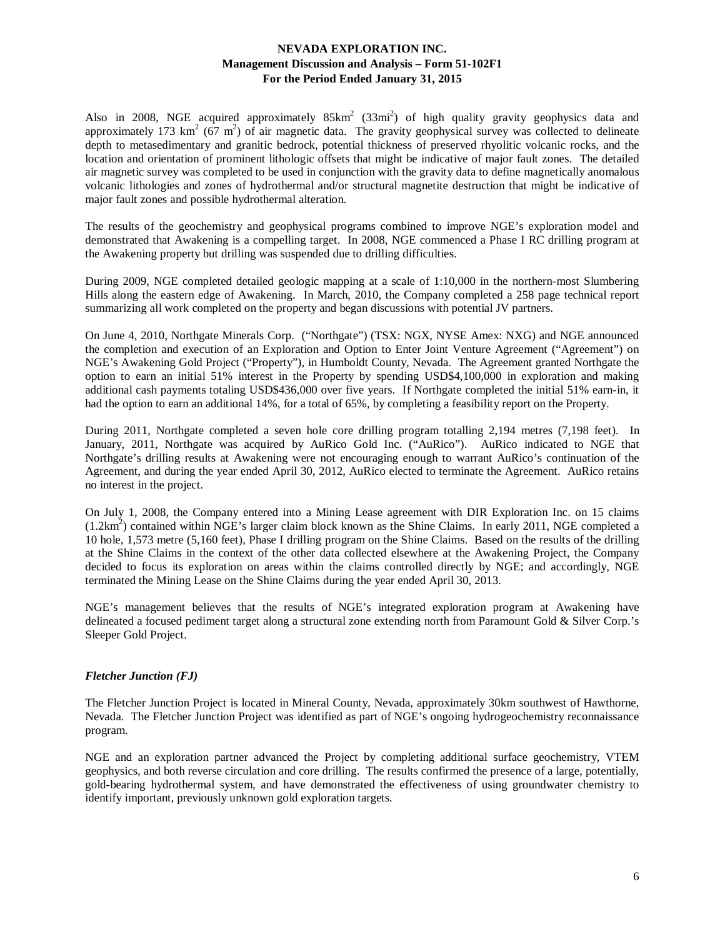Also in 2008, NGE acquired approximately  $85 \text{km}^2$  (33mi<sup>2</sup>) of high quality gravity geophysics data and approximately 173 km<sup>2</sup> (67 m<sup>2</sup>) of air magnetic data. The gravity geophysical survey was collected to delineate depth to metasedimentary and granitic bedrock, potential thickness of preserved rhyolitic volcanic rocks, and the location and orientation of prominent lithologic offsets that might be indicative of major fault zones. The detailed air magnetic survey was completed to be used in conjunction with the gravity data to define magnetically anomalous volcanic lithologies and zones of hydrothermal and/or structural magnetite destruction that might be indicative of major fault zones and possible hydrothermal alteration.

The results of the geochemistry and geophysical programs combined to improve NGE's exploration model and demonstrated that Awakening is a compelling target. In 2008, NGE commenced a Phase I RC drilling program at the Awakening property but drilling was suspended due to drilling difficulties.

During 2009, NGE completed detailed geologic mapping at a scale of 1:10,000 in the northern-most Slumbering Hills along the eastern edge of Awakening. In March, 2010, the Company completed a 258 page technical report summarizing all work completed on the property and began discussions with potential JV partners.

On June 4, 2010, Northgate Minerals Corp. ("Northgate") (TSX: NGX, NYSE Amex: NXG) and NGE announced the completion and execution of an Exploration and Option to Enter Joint Venture Agreement ("Agreement") on NGE's Awakening Gold Project ("Property"), in Humboldt County, Nevada. The Agreement granted Northgate the option to earn an initial 51% interest in the Property by spending USD\$4,100,000 in exploration and making additional cash payments totaling USD\$436,000 over five years. If Northgate completed the initial 51% earn-in, it had the option to earn an additional 14%, for a total of 65%, by completing a feasibility report on the Property.

During 2011, Northgate completed a seven hole core drilling program totalling 2,194 metres (7,198 feet). In January, 2011, Northgate was acquired by AuRico Gold Inc. ("AuRico"). AuRico indicated to NGE that Northgate's drilling results at Awakening were not encouraging enough to warrant AuRico's continuation of the Agreement, and during the year ended April 30, 2012, AuRico elected to terminate the Agreement. AuRico retains no interest in the project.

On July 1, 2008, the Company entered into a Mining Lease agreement with DIR Exploration Inc. on 15 claims (1.2km<sup>2</sup>) contained within NGE's larger claim block known as the Shine Claims. In early 2011, NGE completed a 10 hole, 1,573 metre (5,160 feet), Phase I drilling program on the Shine Claims. Based on the results of the drilling at the Shine Claims in the context of the other data collected elsewhere at the Awakening Project, the Company decided to focus its exploration on areas within the claims controlled directly by NGE; and accordingly, NGE terminated the Mining Lease on the Shine Claims during the year ended April 30, 2013.

NGE's management believes that the results of NGE's integrated exploration program at Awakening have delineated a focused pediment target along a structural zone extending north from Paramount Gold & Silver Corp.'s Sleeper Gold Project.

## *Fletcher Junction (FJ)*

The Fletcher Junction Project is located in Mineral County, Nevada, approximately 30km southwest of Hawthorne, Nevada. The Fletcher Junction Project was identified as part of NGE's ongoing hydrogeochemistry reconnaissance program.

NGE and an exploration partner advanced the Project by completing additional surface geochemistry, VTEM geophysics, and both reverse circulation and core drilling. The results confirmed the presence of a large, potentially, gold-bearing hydrothermal system, and have demonstrated the effectiveness of using groundwater chemistry to identify important, previously unknown gold exploration targets.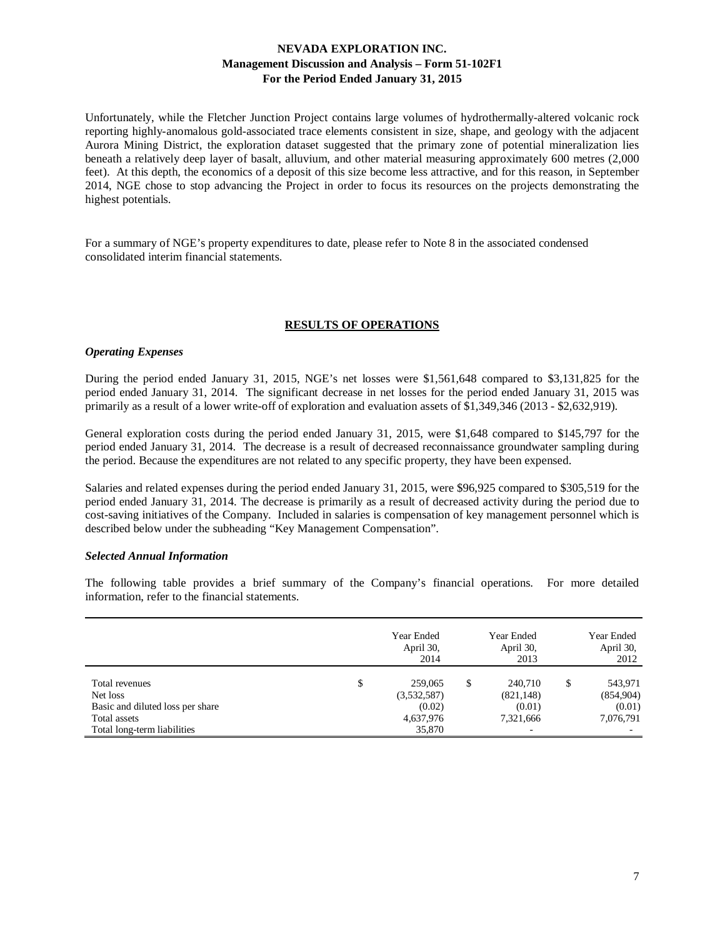Unfortunately, while the Fletcher Junction Project contains large volumes of hydrothermally-altered volcanic rock reporting highly-anomalous gold-associated trace elements consistent in size, shape, and geology with the adjacent Aurora Mining District, the exploration dataset suggested that the primary zone of potential mineralization lies beneath a relatively deep layer of basalt, alluvium, and other material measuring approximately 600 metres (2,000 feet). At this depth, the economics of a deposit of this size become less attractive, and for this reason, in September 2014, NGE chose to stop advancing the Project in order to focus its resources on the projects demonstrating the highest potentials.

For a summary of NGE's property expenditures to date, please refer to Note 8 in the associated condensed consolidated interim financial statements.

## **RESULTS OF OPERATIONS**

#### *Operating Expenses*

During the period ended January 31, 2015, NGE's net losses were \$1,561,648 compared to \$3,131,825 for the period ended January 31, 2014. The significant decrease in net losses for the period ended January 31, 2015 was primarily as a result of a lower write-off of exploration and evaluation assets of \$1,349,346 (2013 - \$2,632,919).

General exploration costs during the period ended January 31, 2015, were \$1,648 compared to \$145,797 for the period ended January 31, 2014. The decrease is a result of decreased reconnaissance groundwater sampling during the period. Because the expenditures are not related to any specific property, they have been expensed.

Salaries and related expenses during the period ended January 31, 2015, were \$96,925 compared to \$305,519 for the period ended January 31, 2014. The decrease is primarily as a result of decreased activity during the period due to cost-saving initiatives of the Company. Included in salaries is compensation of key management personnel which is described below under the subheading "Key Management Compensation".

#### *Selected Annual Information*

The following table provides a brief summary of the Company's financial operations. For more detailed information, refer to the financial statements.

|                                  | Year Ended<br>April 30,<br>2014 |   | Year Ended<br>April 30,<br>2013 | Year Ended<br>April 30,<br>2012 |
|----------------------------------|---------------------------------|---|---------------------------------|---------------------------------|
| Total revenues                   | \$<br>259,065                   | S | 240,710                         | \$<br>543,971                   |
| Net loss                         | (3,532,587)                     |   | (821, 148)                      | (854,904)                       |
| Basic and diluted loss per share | (0.02)                          |   | (0.01)                          | (0.01)                          |
| Total assets                     | 4,637,976                       |   | 7,321,666                       | 7,076,791                       |
| Total long-term liabilities      | 35,870                          |   |                                 |                                 |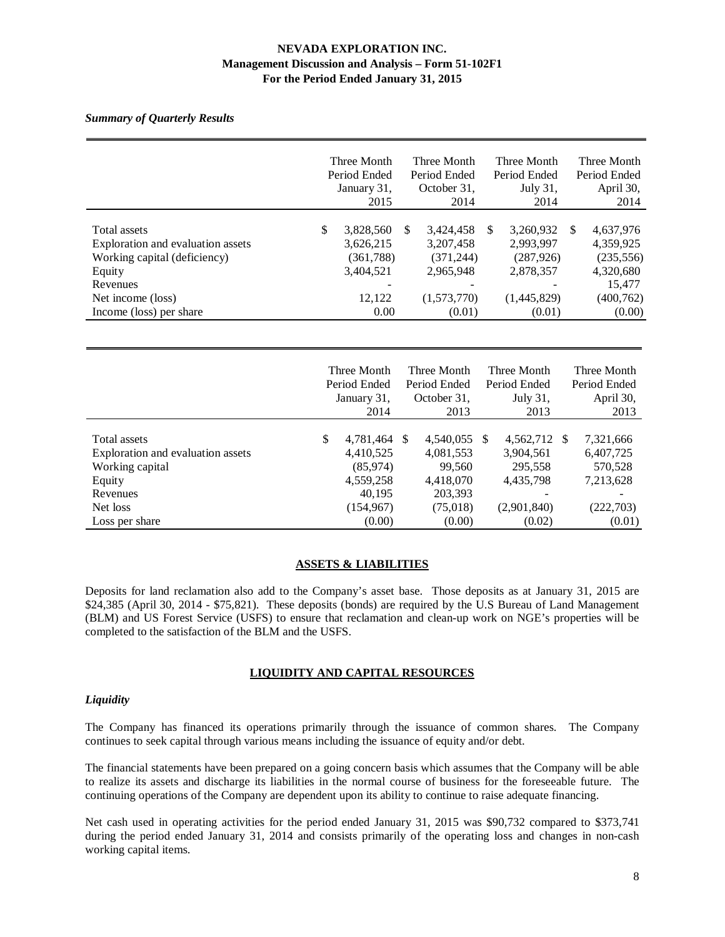#### *Summary of Quarterly Results*

|                                                                                                                                                         | Three Month<br>Period Ended<br>January 31,<br>2015                        |               | Three Month<br>Period Ended<br>October 31,<br>2014                         |               | Three Month<br>Period Ended<br>July 31,<br>2014                            |    | Three Month<br>Period Ended<br>April 30,<br>2014                                    |
|---------------------------------------------------------------------------------------------------------------------------------------------------------|---------------------------------------------------------------------------|---------------|----------------------------------------------------------------------------|---------------|----------------------------------------------------------------------------|----|-------------------------------------------------------------------------------------|
| Total assets<br>Exploration and evaluation assets<br>Working capital (deficiency)<br>Equity<br>Revenues<br>Net income (loss)<br>Income (loss) per share | \$<br>3,828,560<br>3,626,215<br>(361, 788)<br>3,404,521<br>12,122<br>0.00 | <sup>\$</sup> | 3,424,458<br>3,207,458<br>(371, 244)<br>2,965,948<br>(1,573,770)<br>(0.01) | <sup>\$</sup> | 3,260,932<br>2,993,997<br>(287, 926)<br>2,878,357<br>(1,445,829)<br>(0.01) | -S | 4,637,976<br>4,359,925<br>(235, 556)<br>4,320,680<br>15,477<br>(400, 762)<br>(0.00) |

|                                                                                                               | Three Month<br>Period Ended<br>January 31,<br>2014                               | Three Month<br>Period Ended<br>October 31,<br>2013                   |      | Three Month<br>Period Ended<br>July 31,<br>2013               |    | Three Month<br>Period Ended<br>April 30,<br>2013             |
|---------------------------------------------------------------------------------------------------------------|----------------------------------------------------------------------------------|----------------------------------------------------------------------|------|---------------------------------------------------------------|----|--------------------------------------------------------------|
| <b>Total assets</b><br>Exploration and evaluation assets<br>Working capital<br>Equity<br>Revenues<br>Net loss | \$<br>4,781,464 \$<br>4,410,525<br>(85,974)<br>4,559,258<br>40,195<br>(154, 967) | 4,540,055<br>4,081,553<br>99,560<br>4,418,070<br>203,393<br>(75,018) | - \$ | 4,562,712<br>3,904,561<br>295,558<br>4,435,798<br>(2,901,840) | -S | 7,321,666<br>6,407,725<br>570,528<br>7,213,628<br>(222, 703) |
| Loss per share                                                                                                | (0.00)                                                                           | (0.00)                                                               |      | (0.02)                                                        |    | (0.01)                                                       |

## **ASSETS & LIABILITIES**

Deposits for land reclamation also add to the Company's asset base. Those deposits as at January 31, 2015 are \$24,385 (April 30, 2014 - \$75,821). These deposits (bonds) are required by the U.S Bureau of Land Management (BLM) and US Forest Service (USFS) to ensure that reclamation and clean-up work on NGE's properties will be completed to the satisfaction of the BLM and the USFS.

## **LIQUIDITY AND CAPITAL RESOURCES**

## *Liquidity*

The Company has financed its operations primarily through the issuance of common shares. The Company continues to seek capital through various means including the issuance of equity and/or debt.

The financial statements have been prepared on a going concern basis which assumes that the Company will be able to realize its assets and discharge its liabilities in the normal course of business for the foreseeable future. The continuing operations of the Company are dependent upon its ability to continue to raise adequate financing.

Net cash used in operating activities for the period ended January 31, 2015 was \$90,732 compared to \$373,741 during the period ended January 31, 2014 and consists primarily of the operating loss and changes in non-cash working capital items.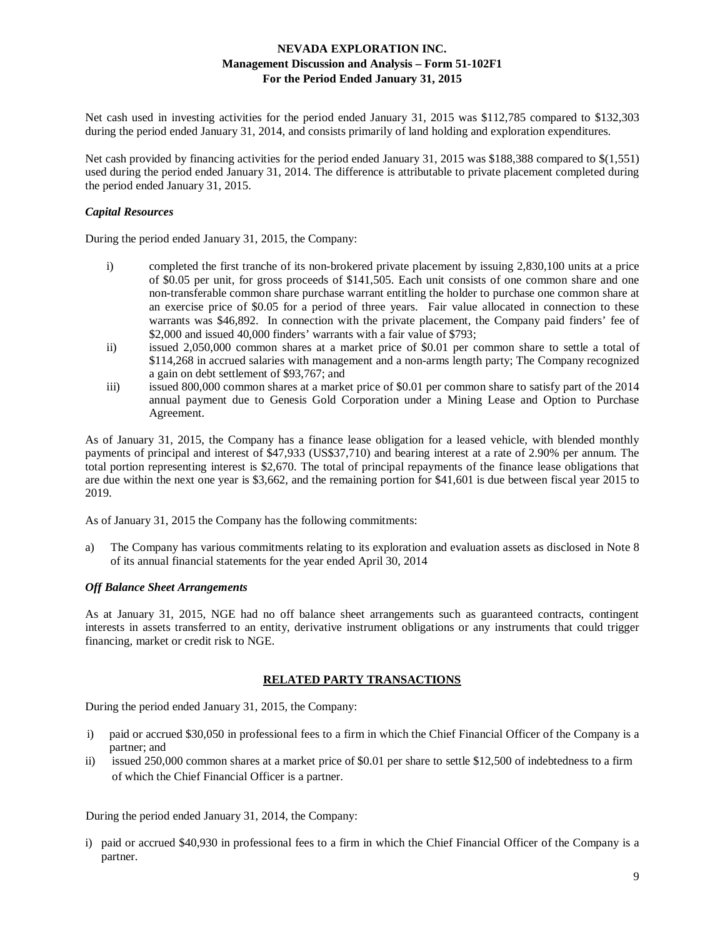Net cash used in investing activities for the period ended January 31, 2015 was \$112,785 compared to \$132,303 during the period ended January 31, 2014, and consists primarily of land holding and exploration expenditures.

Net cash provided by financing activities for the period ended January 31, 2015 was \$188,388 compared to \$(1,551) used during the period ended January 31, 2014. The difference is attributable to private placement completed during the period ended January 31, 2015.

## *Capital Resources*

During the period ended January 31, 2015, the Company:

- i) completed the first tranche of its non-brokered private placement by issuing 2,830,100 units at a price of \$0.05 per unit, for gross proceeds of \$141,505. Each unit consists of one common share and one non-transferable common share purchase warrant entitling the holder to purchase one common share at an exercise price of \$0.05 for a period of three years. Fair value allocated in connection to these warrants was \$46,892. In connection with the private placement, the Company paid finders' fee of \$2,000 and issued 40,000 finders' warrants with a fair value of \$793;
- ii) issued 2,050,000 common shares at a market price of \$0.01 per common share to settle a total of \$114,268 in accrued salaries with management and a non-arms length party; The Company recognized a gain on debt settlement of \$93,767; and
- iii) issued 800,000 common shares at a market price of \$0.01 per common share to satisfy part of the 2014 annual payment due to Genesis Gold Corporation under a Mining Lease and Option to Purchase Agreement.

As of January 31, 2015, the Company has a finance lease obligation for a leased vehicle, with blended monthly payments of principal and interest of \$47,933 (US\$37,710) and bearing interest at a rate of 2.90% per annum. The total portion representing interest is \$2,670. The total of principal repayments of the finance lease obligations that are due within the next one year is \$3,662, and the remaining portion for \$41,601 is due between fiscal year 2015 to 2019.

As of January 31, 2015 the Company has the following commitments:

a) The Company has various commitments relating to its exploration and evaluation assets as disclosed in Note 8 of its annual financial statements for the year ended April 30, 2014

## *Off Balance Sheet Arrangements*

As at January 31, 2015, NGE had no off balance sheet arrangements such as guaranteed contracts, contingent interests in assets transferred to an entity, derivative instrument obligations or any instruments that could trigger financing, market or credit risk to NGE.

## **RELATED PARTY TRANSACTIONS**

During the period ended January 31, 2015, the Company:

- i) paid or accrued \$30,050 in professional fees to a firm in which the Chief Financial Officer of the Company is a partner; and
- ii) issued 250,000 common shares at a market price of \$0.01 per share to settle \$12,500 of indebtedness to a firm of which the Chief Financial Officer is a partner.

During the period ended January 31, 2014, the Company:

i) paid or accrued \$40,930 in professional fees to a firm in which the Chief Financial Officer of the Company is a partner.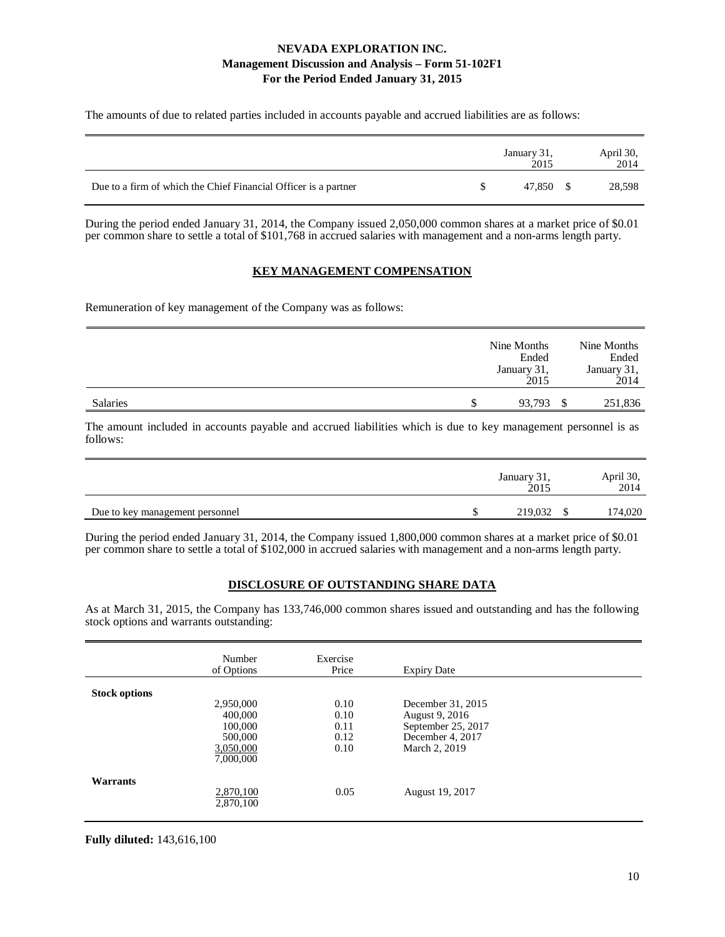The amounts of due to related parties included in accounts payable and accrued liabilities are as follows:

|                                                                 | January 31,<br>2015 | April 30,<br>2014 |
|-----------------------------------------------------------------|---------------------|-------------------|
| Due to a firm of which the Chief Financial Officer is a partner | 47.850 \$           | 28,598            |

During the period ended January 31, 2014, the Company issued 2,050,000 common shares at a market price of \$0.01 per common share to settle a total of \$101,768 in accrued salaries with management and a non-arms length party.

## **KEY MANAGEMENT COMPENSATION**

Remuneration of key management of the Company was as follows:

|                 | Nine Months<br>Ended<br>January 31,<br>2015 |     | Nine Months<br>Ended<br>January 31,<br>2014 |
|-----------------|---------------------------------------------|-----|---------------------------------------------|
| <b>Salaries</b> | 93.793                                      | - S | 251,836                                     |

The amount included in accounts payable and accrued liabilities which is due to key management personnel is as follows:

|                                 | January 31,<br>2015 | April 30,<br>2014 |
|---------------------------------|---------------------|-------------------|
| Due to key management personnel | 219,032             | 174,020           |

During the period ended January 31, 2014, the Company issued 1,800,000 common shares at a market price of \$0.01 per common share to settle a total of \$102,000 in accrued salaries with management and a non-arms length party.

# **DISCLOSURE OF OUTSTANDING SHARE DATA**

As at March 31, 2015, the Company has 133,746,000 common shares issued and outstanding and has the following stock options and warrants outstanding:

|                      | Number<br>of Options                                                 | Exercise<br>Price                    | <b>Expiry Date</b>                                                                             |  |
|----------------------|----------------------------------------------------------------------|--------------------------------------|------------------------------------------------------------------------------------------------|--|
| <b>Stock options</b> | 2,950,000<br>400,000<br>100,000<br>500,000<br>3,050,000<br>7,000,000 | 0.10<br>0.10<br>0.11<br>0.12<br>0.10 | December 31, 2015<br>August 9, 2016<br>September 25, 2017<br>December 4, 2017<br>March 2, 2019 |  |
| Warrants             | 2,870,100<br>2,870,100                                               | 0.05                                 | August 19, 2017                                                                                |  |

**Fully diluted:** 143,616,100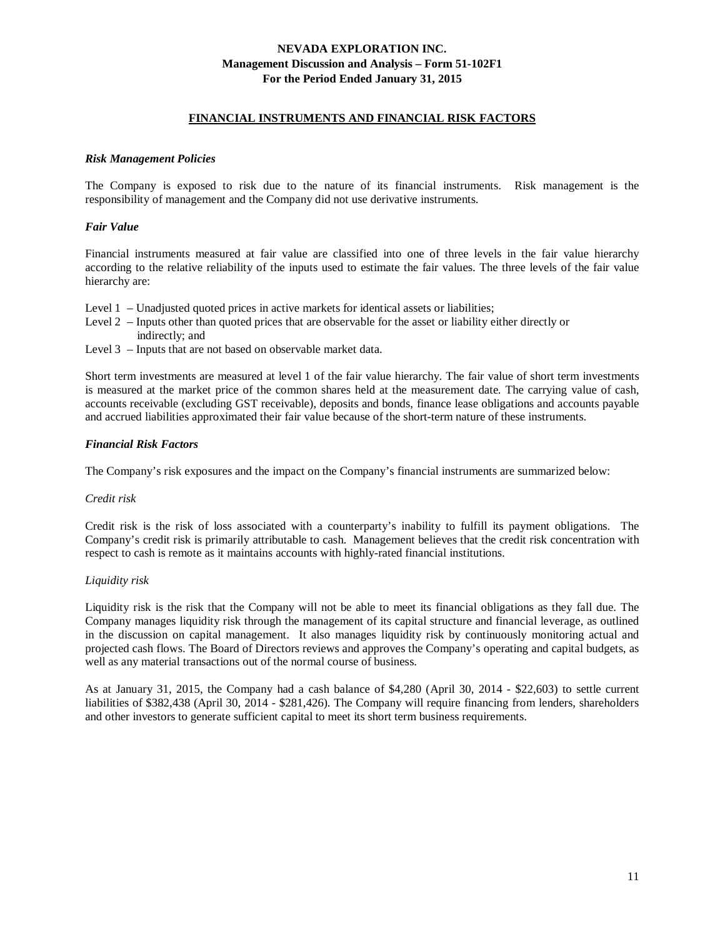## **FINANCIAL INSTRUMENTS AND FINANCIAL RISK FACTORS**

#### *Risk Management Policies*

The Company is exposed to risk due to the nature of its financial instruments. Risk management is the responsibility of management and the Company did not use derivative instruments.

#### *Fair Value*

Financial instruments measured at fair value are classified into one of three levels in the fair value hierarchy according to the relative reliability of the inputs used to estimate the fair values. The three levels of the fair value hierarchy are:

Level 1 – Unadjusted quoted prices in active markets for identical assets or liabilities;

- Level 2 Inputs other than quoted prices that are observable for the asset or liability either directly or indirectly; and
- Level 3 Inputs that are not based on observable market data.

Short term investments are measured at level 1 of the fair value hierarchy. The fair value of short term investments is measured at the market price of the common shares held at the measurement date. The carrying value of cash, accounts receivable (excluding GST receivable), deposits and bonds, finance lease obligations and accounts payable and accrued liabilities approximated their fair value because of the short-term nature of these instruments.

#### *Financial Risk Factors*

The Company's risk exposures and the impact on the Company's financial instruments are summarized below:

#### *Credit risk*

Credit risk is the risk of loss associated with a counterparty's inability to fulfill its payment obligations. The Company's credit risk is primarily attributable to cash. Management believes that the credit risk concentration with respect to cash is remote as it maintains accounts with highly-rated financial institutions.

## *Liquidity risk*

Liquidity risk is the risk that the Company will not be able to meet its financial obligations as they fall due. The Company manages liquidity risk through the management of its capital structure and financial leverage, as outlined in the discussion on capital management. It also manages liquidity risk by continuously monitoring actual and projected cash flows. The Board of Directors reviews and approves the Company's operating and capital budgets, as well as any material transactions out of the normal course of business.

As at January 31, 2015, the Company had a cash balance of \$4,280 (April 30, 2014 - \$22,603) to settle current liabilities of \$382,438 (April 30, 2014 - \$281,426). The Company will require financing from lenders, shareholders and other investors to generate sufficient capital to meet its short term business requirements.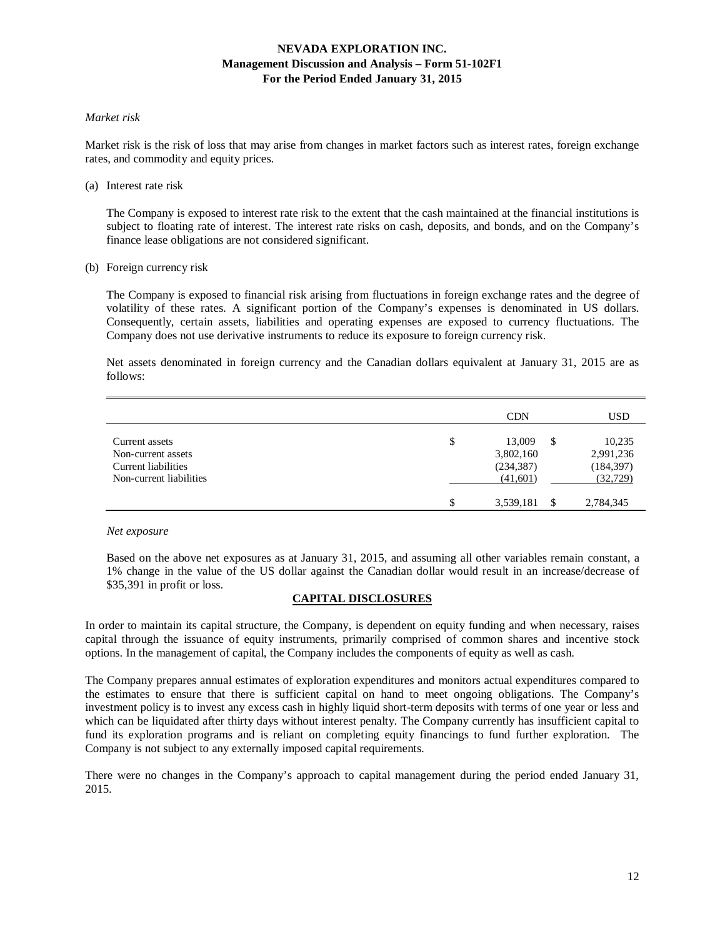#### *Market risk*

Market risk is the risk of loss that may arise from changes in market factors such as interest rates, foreign exchange rates, and commodity and equity prices.

(a) Interest rate risk

The Company is exposed to interest rate risk to the extent that the cash maintained at the financial institutions is subject to floating rate of interest. The interest rate risks on cash, deposits, and bonds, and on the Company's finance lease obligations are not considered significant.

(b) Foreign currency risk

The Company is exposed to financial risk arising from fluctuations in foreign exchange rates and the degree of volatility of these rates. A significant portion of the Company's expenses is denominated in US dollars. Consequently, certain assets, liabilities and operating expenses are exposed to currency fluctuations. The Company does not use derivative instruments to reduce its exposure to foreign currency risk.

Net assets denominated in foreign currency and the Canadian dollars equivalent at January 31, 2015 are as follows:

|                                                                                        | <b>CDN</b>                                          |   | <b>USD</b>                                     |
|----------------------------------------------------------------------------------------|-----------------------------------------------------|---|------------------------------------------------|
| Current assets<br>Non-current assets<br>Current liabilities<br>Non-current liabilities | \$<br>13,009<br>3,802,160<br>(234, 387)<br>(41,601) | S | 10,235<br>2,991,236<br>(184, 397)<br>(32, 729) |
|                                                                                        | \$<br>3,539,181                                     | S | 2,784,345                                      |

#### *Net exposure*

Based on the above net exposures as at January 31, 2015, and assuming all other variables remain constant, a 1% change in the value of the US dollar against the Canadian dollar would result in an increase/decrease of \$35,391 in profit or loss.

## **CAPITAL DISCLOSURES**

In order to maintain its capital structure, the Company, is dependent on equity funding and when necessary, raises capital through the issuance of equity instruments, primarily comprised of common shares and incentive stock options. In the management of capital, the Company includes the components of equity as well as cash.

The Company prepares annual estimates of exploration expenditures and monitors actual expenditures compared to the estimates to ensure that there is sufficient capital on hand to meet ongoing obligations. The Company's investment policy is to invest any excess cash in highly liquid short-term deposits with terms of one year or less and which can be liquidated after thirty days without interest penalty. The Company currently has insufficient capital to fund its exploration programs and is reliant on completing equity financings to fund further exploration. The Company is not subject to any externally imposed capital requirements.

There were no changes in the Company's approach to capital management during the period ended January 31, 2015.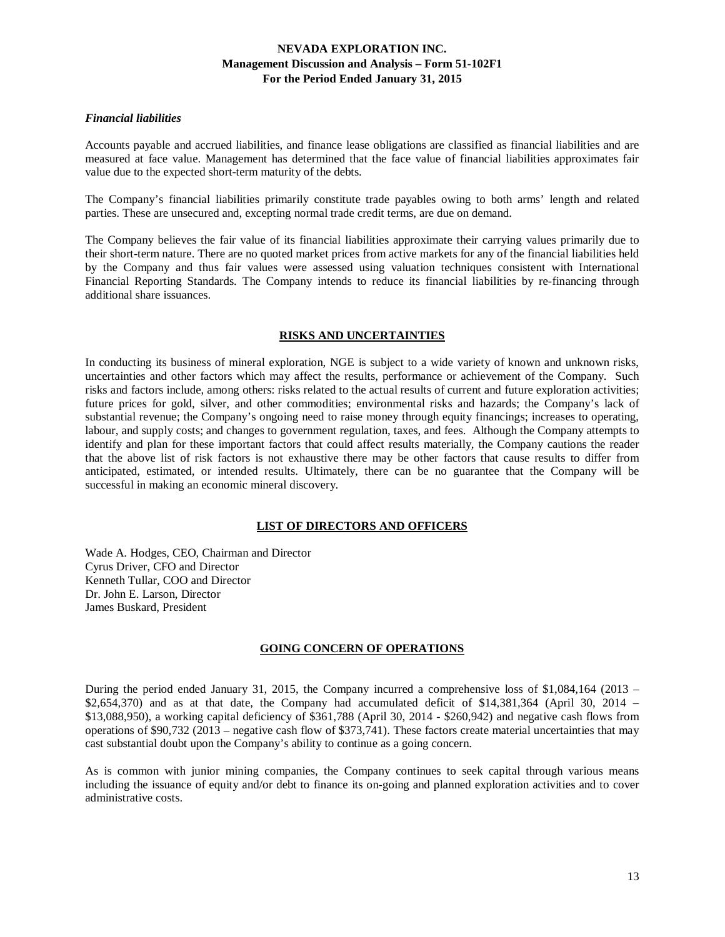#### *Financial liabilities*

Accounts payable and accrued liabilities, and finance lease obligations are classified as financial liabilities and are measured at face value. Management has determined that the face value of financial liabilities approximates fair value due to the expected short-term maturity of the debts.

The Company's financial liabilities primarily constitute trade payables owing to both arms' length and related parties. These are unsecured and, excepting normal trade credit terms, are due on demand.

The Company believes the fair value of its financial liabilities approximate their carrying values primarily due to their short-term nature. There are no quoted market prices from active markets for any of the financial liabilities held by the Company and thus fair values were assessed using valuation techniques consistent with International Financial Reporting Standards. The Company intends to reduce its financial liabilities by re-financing through additional share issuances.

## **RISKS AND UNCERTAINTIES**

In conducting its business of mineral exploration, NGE is subject to a wide variety of known and unknown risks, uncertainties and other factors which may affect the results, performance or achievement of the Company. Such risks and factors include, among others: risks related to the actual results of current and future exploration activities; future prices for gold, silver, and other commodities; environmental risks and hazards; the Company's lack of substantial revenue; the Company's ongoing need to raise money through equity financings; increases to operating, labour, and supply costs; and changes to government regulation, taxes, and fees. Although the Company attempts to identify and plan for these important factors that could affect results materially, the Company cautions the reader that the above list of risk factors is not exhaustive there may be other factors that cause results to differ from anticipated, estimated, or intended results. Ultimately, there can be no guarantee that the Company will be successful in making an economic mineral discovery.

#### **LIST OF DIRECTORS AND OFFICERS**

Wade A. Hodges, CEO, Chairman and Director Cyrus Driver, CFO and Director Kenneth Tullar, COO and Director Dr. John E. Larson, Director James Buskard, President

## **GOING CONCERN OF OPERATIONS**

During the period ended January 31, 2015, the Company incurred a comprehensive loss of \$1,084,164 (2013 –  $$2,654,370$  and as at that date, the Company had accumulated deficit of \$14,381,364 (April 30, 2014 – \$13,088,950), a working capital deficiency of \$361,788 (April 30, 2014 - \$260,942) and negative cash flows from operations of \$90,732 (2013 – negative cash flow of \$373,741). These factors create material uncertainties that may cast substantial doubt upon the Company's ability to continue as a going concern.

As is common with junior mining companies, the Company continues to seek capital through various means including the issuance of equity and/or debt to finance its on-going and planned exploration activities and to cover administrative costs.